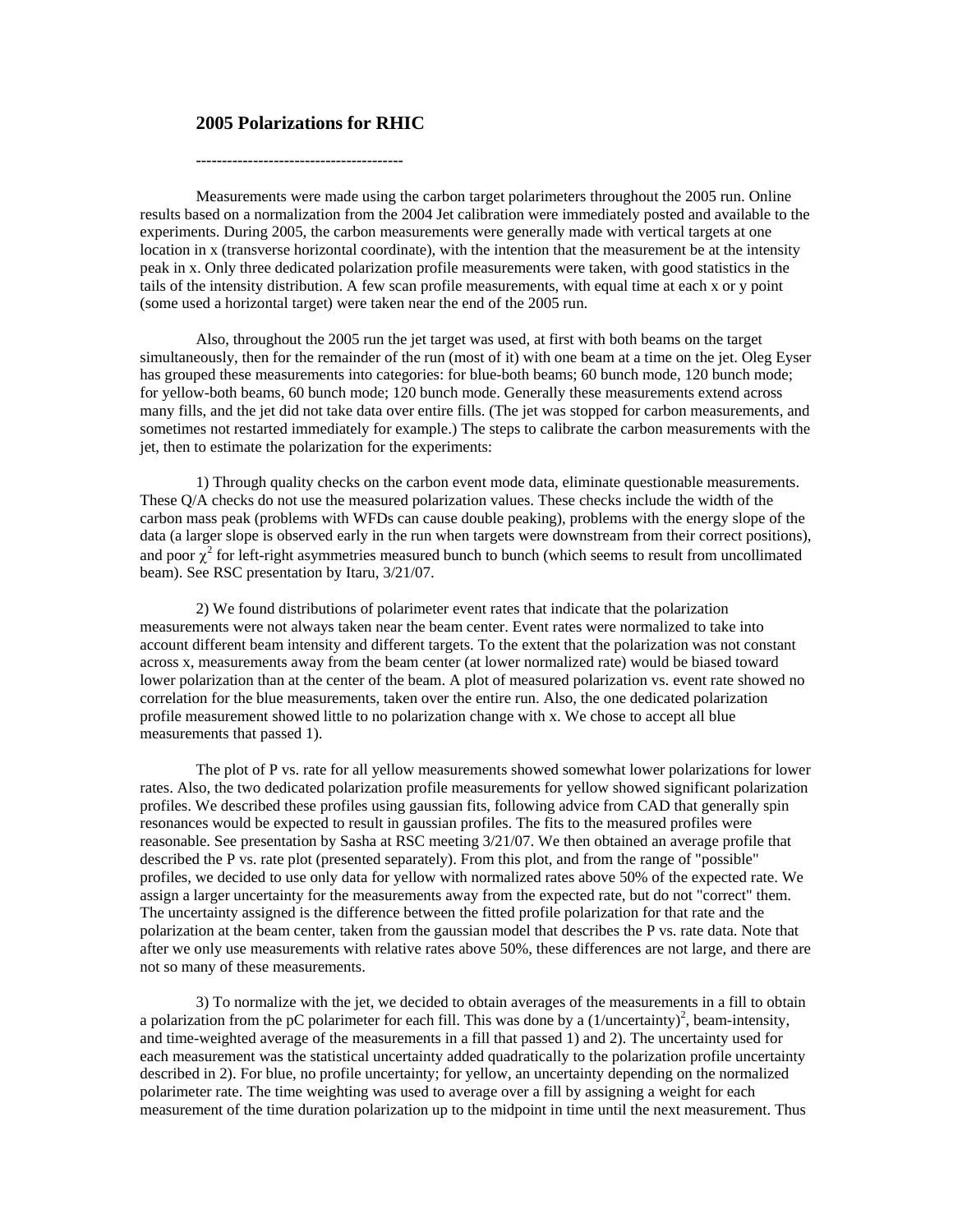## **2005 Polarizations for RHIC**

**----------------------------------------** 

Measurements were made using the carbon target polarimeters throughout the 2005 run. Online results based on a normalization from the 2004 Jet calibration were immediately posted and available to the experiments. During 2005, the carbon measurements were generally made with vertical targets at one location in x (transverse horizontal coordinate), with the intention that the measurement be at the intensity peak in x. Only three dedicated polarization profile measurements were taken, with good statistics in the tails of the intensity distribution. A few scan profile measurements, with equal time at each x or y point (some used a horizontal target) were taken near the end of the 2005 run.

Also, throughout the 2005 run the jet target was used, at first with both beams on the target simultaneously, then for the remainder of the run (most of it) with one beam at a time on the jet. Oleg Eyser has grouped these measurements into categories: for blue-both beams; 60 bunch mode, 120 bunch mode; for yellow-both beams, 60 bunch mode; 120 bunch mode. Generally these measurements extend across many fills, and the jet did not take data over entire fills. (The jet was stopped for carbon measurements, and sometimes not restarted immediately for example.) The steps to calibrate the carbon measurements with the jet, then to estimate the polarization for the experiments:

1) Through quality checks on the carbon event mode data, eliminate questionable measurements. These Q/A checks do not use the measured polarization values. These checks include the width of the carbon mass peak (problems with WFDs can cause double peaking), problems with the energy slope of the data (a larger slope is observed early in the run when targets were downstream from their correct positions), and poor  $\chi^2$  for left-right asymmetries measured bunch to bunch (which seems to result from uncollimated beam). See RSC presentation by Itaru, 3/21/07.

2) We found distributions of polarimeter event rates that indicate that the polarization measurements were not always taken near the beam center. Event rates were normalized to take into account different beam intensity and different targets. To the extent that the polarization was not constant across x, measurements away from the beam center (at lower normalized rate) would be biased toward lower polarization than at the center of the beam. A plot of measured polarization vs. event rate showed no correlation for the blue measurements, taken over the entire run. Also, the one dedicated polarization profile measurement showed little to no polarization change with x. We chose to accept all blue measurements that passed 1).

The plot of P vs. rate for all yellow measurements showed somewhat lower polarizations for lower rates. Also, the two dedicated polarization profile measurements for yellow showed significant polarization profiles. We described these profiles using gaussian fits, following advice from CAD that generally spin resonances would be expected to result in gaussian profiles. The fits to the measured profiles were reasonable. See presentation by Sasha at RSC meeting 3/21/07. We then obtained an average profile that described the P vs. rate plot (presented separately). From this plot, and from the range of "possible" profiles, we decided to use only data for yellow with normalized rates above 50% of the expected rate. We assign a larger uncertainty for the measurements away from the expected rate, but do not "correct" them. The uncertainty assigned is the difference between the fitted profile polarization for that rate and the polarization at the beam center, taken from the gaussian model that describes the P vs. rate data. Note that after we only use measurements with relative rates above 50%, these differences are not large, and there are not so many of these measurements.

3) To normalize with the jet, we decided to obtain averages of the measurements in a fill to obtain a polarization from the pC polarimeter for each fill. This was done by a  $(1/\text{uncertainty})^2$ , beam-intensity, and time-weighted average of the measurements in a fill that passed 1) and 2). The uncertainty used for each measurement was the statistical uncertainty added quadratically to the polarization profile uncertainty described in 2). For blue, no profile uncertainty; for yellow, an uncertainty depending on the normalized polarimeter rate. The time weighting was used to average over a fill by assigning a weight for each measurement of the time duration polarization up to the midpoint in time until the next measurement. Thus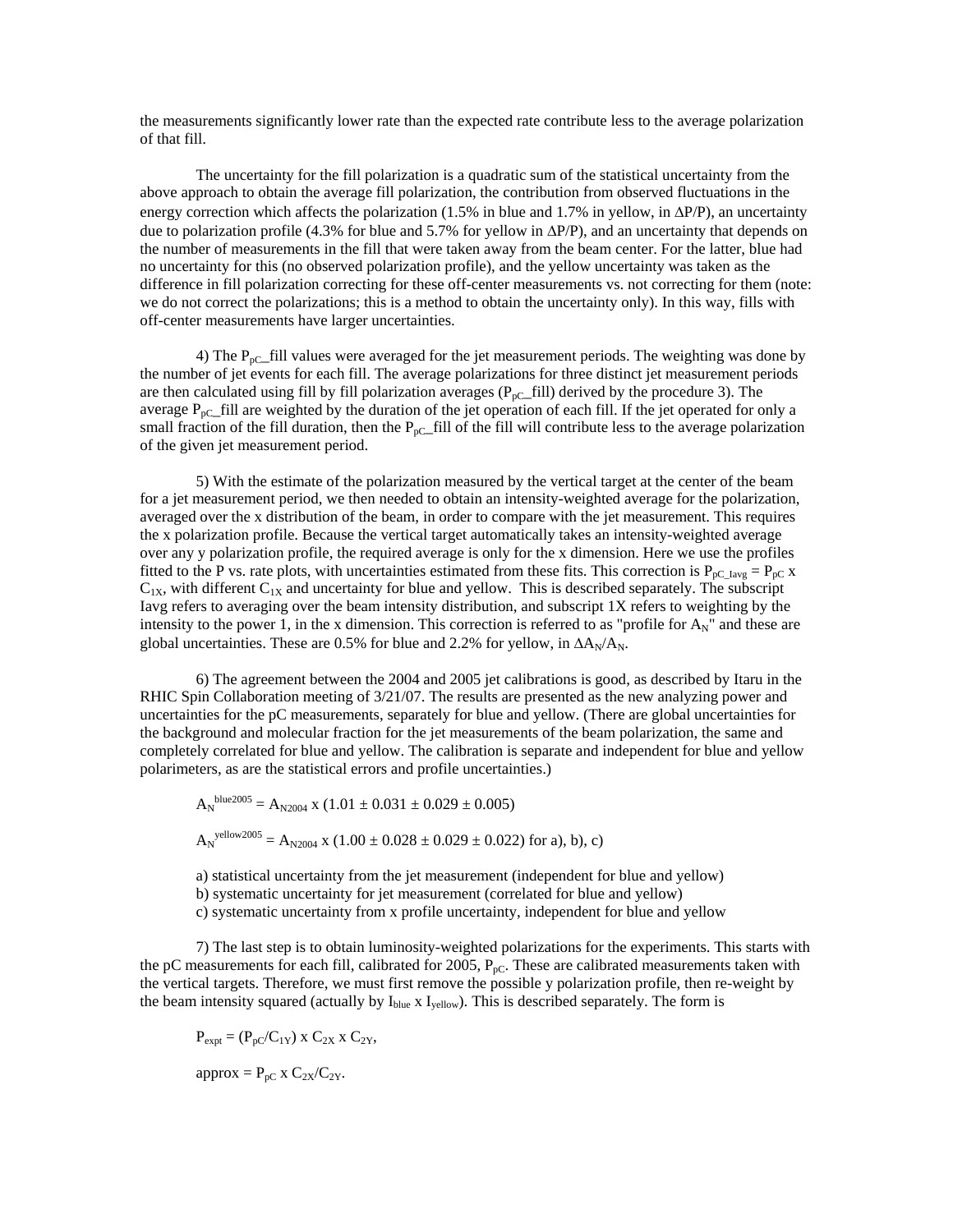the measurements significantly lower rate than the expected rate contribute less to the average polarization of that fill.

The uncertainty for the fill polarization is a quadratic sum of the statistical uncertainty from the above approach to obtain the average fill polarization, the contribution from observed fluctuations in the energy correction which affects the polarization (1.5% in blue and 1.7% in yellow, in  $\Delta P/P$ ), an uncertainty due to polarization profile (4.3% for blue and 5.7% for yellow in ∆P/P), and an uncertainty that depends on the number of measurements in the fill that were taken away from the beam center. For the latter, blue had no uncertainty for this (no observed polarization profile), and the yellow uncertainty was taken as the difference in fill polarization correcting for these off-center measurements vs. not correcting for them (note: we do not correct the polarizations; this is a method to obtain the uncertainty only). In this way, fills with off-center measurements have larger uncertainties.

4) The  $P_{pC_{n}}$  fill values were averaged for the jet measurement periods. The weighting was done by the number of jet events for each fill. The average polarizations for three distinct jet measurement periods are then calculated using fill by fill polarization averages ( $P_{pC}$ \_fill) derived by the procedure 3). The average  $P_{pC}$ -fill are weighted by the duration of the jet operation of each fill. If the jet operated for only a small fraction of the fill duration, then the  $P_{pC}$ -fill of the fill will contribute less to the average polarization of the given jet measurement period.

5) With the estimate of the polarization measured by the vertical target at the center of the beam for a jet measurement period, we then needed to obtain an intensity-weighted average for the polarization, averaged over the x distribution of the beam, in order to compare with the jet measurement. This requires the x polarization profile. Because the vertical target automatically takes an intensity-weighted average over any y polarization profile, the required average is only for the x dimension. Here we use the profiles fitted to the P vs. rate plots, with uncertainties estimated from these fits. This correction is  $P_{pC\_{\text{avg}}} = P_{pC} x$  $C_{1X}$ , with different  $C_{1X}$  and uncertainty for blue and yellow. This is described separately. The subscript Iavg refers to averaging over the beam intensity distribution, and subscript 1X refers to weighting by the intensity to the power 1, in the x dimension. This correction is referred to as "profile for  $A_N$ " and these are global uncertainties. These are 0.5% for blue and 2.2% for yellow, in  $\Delta A_N/A_N$ .

6) The agreement between the 2004 and 2005 jet calibrations is good, as described by Itaru in the RHIC Spin Collaboration meeting of 3/21/07. The results are presented as the new analyzing power and uncertainties for the pC measurements, separately for blue and yellow. (There are global uncertainties for the background and molecular fraction for the jet measurements of the beam polarization, the same and completely correlated for blue and yellow. The calibration is separate and independent for blue and yellow polarimeters, as are the statistical errors and profile uncertainties.)

$$
A_N^{\text{blue2005}} = A_{N2004} \times (1.01 \pm 0.031 \pm 0.029 \pm 0.005)
$$
  

$$
A_N^{\text{yellow2005}} = A_{N2004} \times (1.00 \pm 0.028 \pm 0.029 \pm 0.022) \text{ for a), b), c}
$$

a) statistical uncertainty from the jet measurement (independent for blue and yellow)

b) systematic uncertainty for jet measurement (correlated for blue and yellow)

c) systematic uncertainty from x profile uncertainty, independent for blue and yellow

7) The last step is to obtain luminosity-weighted polarizations for the experiments. This starts with the pC measurements for each fill, calibrated for 2005,  $P_{pC}$ . These are calibrated measurements taken with the vertical targets. Therefore, we must first remove the possible y polarization profile, then re-weight by the beam intensity squared (actually by  $I_{blue}$  x  $I_{yellow}$ ). This is described separately. The form is

 $P_{expt} = (P_{pC}/C_{1Y})$  x  $C_{2X}$  x  $C_{2Y}$ , approx =  $P_{pC}$  x  $C_{2X}/C_{2Y}$ .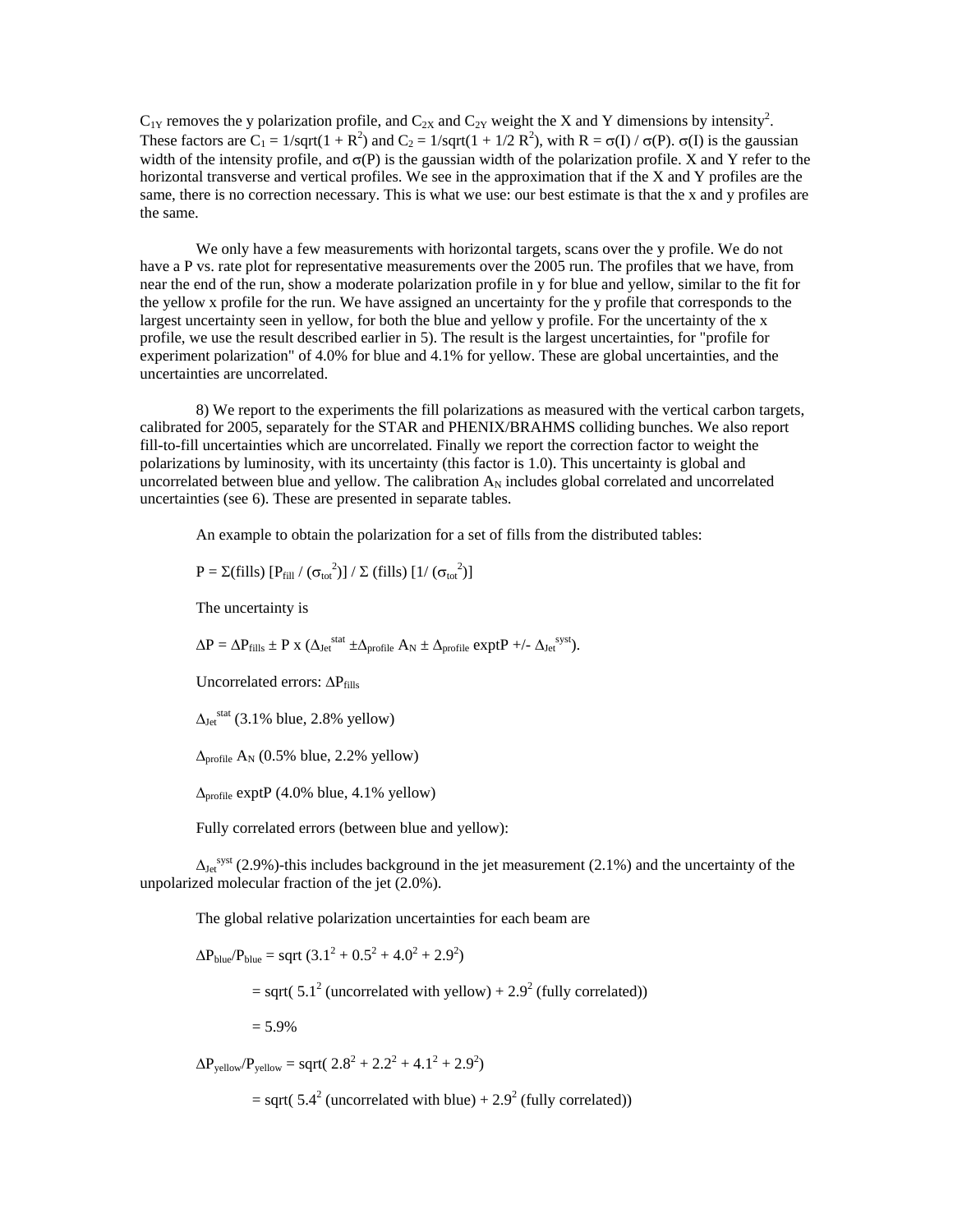$C_{1Y}$  removes the y polarization profile, and  $C_{2X}$  and  $C_{2Y}$  weight the X and Y dimensions by intensity<sup>2</sup>. These factors are  $C_1 = 1/\sqrt{1 + R^2}$  and  $C_2 = 1/\sqrt{1 + 1/2 R^2}$ , with  $R = \sigma(I) / \sigma(P)$ .  $\sigma(I)$  is the gaussian width of the intensity profile, and  $\sigma(P)$  is the gaussian width of the polarization profile. X and Y refer to the horizontal transverse and vertical profiles. We see in the approximation that if the X and Y profiles are the same, there is no correction necessary. This is what we use: our best estimate is that the x and y profiles are the same.

We only have a few measurements with horizontal targets, scans over the y profile. We do not have a P vs. rate plot for representative measurements over the 2005 run. The profiles that we have, from near the end of the run, show a moderate polarization profile in y for blue and yellow, similar to the fit for the yellow x profile for the run. We have assigned an uncertainty for the y profile that corresponds to the largest uncertainty seen in yellow, for both the blue and yellow y profile. For the uncertainty of the x profile, we use the result described earlier in 5). The result is the largest uncertainties, for "profile for experiment polarization" of 4.0% for blue and 4.1% for yellow. These are global uncertainties, and the uncertainties are uncorrelated.

8) We report to the experiments the fill polarizations as measured with the vertical carbon targets, calibrated for 2005, separately for the STAR and PHENIX/BRAHMS colliding bunches. We also report fill-to-fill uncertainties which are uncorrelated. Finally we report the correction factor to weight the polarizations by luminosity, with its uncertainty (this factor is 1.0). This uncertainty is global and uncorrelated between blue and yellow. The calibration  $A_N$  includes global correlated and uncorrelated uncertainties (see 6). These are presented in separate tables.

An example to obtain the polarization for a set of fills from the distributed tables:

$$
P = \Sigma\text{(fills)} [P_{\text{fill}} / (\sigma_{\text{tot}}^2)] / \Sigma\text{ (fills)} [1 / (\sigma_{\text{tot}}^2)]
$$

The uncertainty is

$$
\Delta P = \Delta P_{\text{fills}} \pm P \text{ x } (\Delta_{\text{Jet}}^{\text{stat}} \pm \Delta_{\text{profile}} A_{\text{N}} \pm \Delta_{\text{profile}} \exp tP + \text{-- }\Delta_{\text{Jet}}^{\text{syst}}).
$$

Uncorrelated errors: ΔP<sub>fills</sub>

 $\Delta_{\rm Jet}^{\rm stat}$  (3.1% blue, 2.8% yellow)

 $\Delta_{\text{profile}}$  A<sub>N</sub> (0.5% blue, 2.2% yellow)

 $\Delta_{\text{profile}}$  exptP (4.0% blue, 4.1% yellow)

Fully correlated errors (between blue and yellow):

 $\Delta_{\rm Jet}^{\rm syst}$  (2.9%)-this includes background in the jet measurement (2.1%) and the uncertainty of the unpolarized molecular fraction of the jet (2.0%).

The global relative polarization uncertainties for each beam are

$$
\Delta P_{blue} / P_{blue} = \text{sqrt} (3.1^2 + 0.5^2 + 4.0^2 + 2.9^2)
$$
  
= sqrt(5.1<sup>2</sup> (uncorrelated with yellow) + 2.9<sup>2</sup> (fully correlated))  
= 5.9%  

$$
\Delta P_{yellow} / P_{yellow} = \text{sqrt} (2.8^2 + 2.2^2 + 4.1^2 + 2.9^2)
$$

 $=$  sqrt( 5.4<sup>2</sup> (uncorrelated with blue) + 2.9<sup>2</sup> (fully correlated))